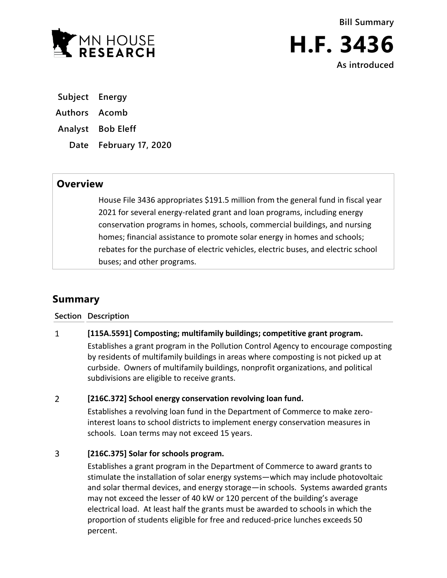

**Bill Summary H.F. 3436 As introduced**

**Subject Energy**

- **Authors Acomb**
- **Analyst Bob Eleff**
	- **Date February 17, 2020**

# **Overview**

House File 3436 appropriates \$191.5 million from the general fund in fiscal year 2021 for several energy-related grant and loan programs, including energy conservation programs in homes, schools, commercial buildings, and nursing homes; financial assistance to promote solar energy in homes and schools; rebates for the purchase of electric vehicles, electric buses, and electric school buses; and other programs.

# **Summary**

**Section Description**

# $\mathbf{1}$ **[115A.5591] Composting; multifamily buildings; competitive grant program.**

Establishes a grant program in the Pollution Control Agency to encourage composting by residents of multifamily buildings in areas where composting is not picked up at curbside. Owners of multifamily buildings, nonprofit organizations, and political subdivisions are eligible to receive grants.

# $\overline{2}$ **[216C.372] School energy conservation revolving loan fund.**

Establishes a revolving loan fund in the Department of Commerce to make zerointerest loans to school districts to implement energy conservation measures in schools. Loan terms may not exceed 15 years.

# $\overline{3}$ **[216C.375] Solar for schools program.**

Establishes a grant program in the Department of Commerce to award grants to stimulate the installation of solar energy systems—which may include photovoltaic and solar thermal devices, and energy storage—in schools. Systems awarded grants may not exceed the lesser of 40 kW or 120 percent of the building's average electrical load. At least half the grants must be awarded to schools in which the proportion of students eligible for free and reduced-price lunches exceeds 50 percent.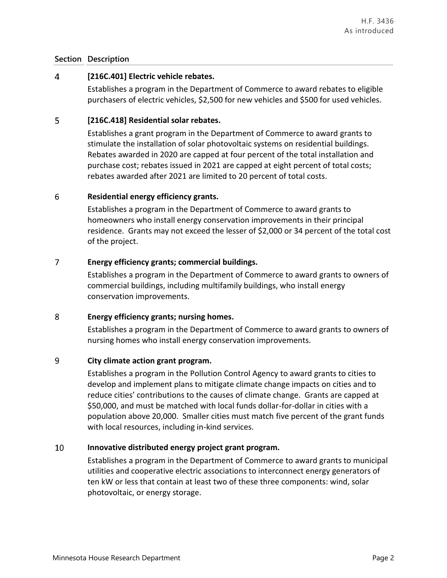# **Section Description**

### $\overline{4}$ **[216C.401] Electric vehicle rebates.**

Establishes a program in the Department of Commerce to award rebates to eligible purchasers of electric vehicles, \$2,500 for new vehicles and \$500 for used vehicles.

### 5 **[216C.418] Residential solar rebates.**

Establishes a grant program in the Department of Commerce to award grants to stimulate the installation of solar photovoltaic systems on residential buildings. Rebates awarded in 2020 are capped at four percent of the total installation and purchase cost; rebates issued in 2021 are capped at eight percent of total costs; rebates awarded after 2021 are limited to 20 percent of total costs.

## 6 **Residential energy efficiency grants.**

Establishes a program in the Department of Commerce to award grants to homeowners who install energy conservation improvements in their principal residence. Grants may not exceed the lesser of \$2,000 or 34 percent of the total cost of the project.

# $\overline{7}$ **Energy efficiency grants; commercial buildings.**

Establishes a program in the Department of Commerce to award grants to owners of commercial buildings, including multifamily buildings, who install energy conservation improvements.

#### 8 **Energy efficiency grants; nursing homes.**

Establishes a program in the Department of Commerce to award grants to owners of nursing homes who install energy conservation improvements.

#### 9 **City climate action grant program.**

Establishes a program in the Pollution Control Agency to award grants to cities to develop and implement plans to mitigate climate change impacts on cities and to reduce cities' contributions to the causes of climate change. Grants are capped at \$50,000, and must be matched with local funds dollar-for-dollar in cities with a population above 20,000. Smaller cities must match five percent of the grant funds with local resources, including in-kind services.

# 10 **Innovative distributed energy project grant program.**

Establishes a program in the Department of Commerce to award grants to municipal utilities and cooperative electric associations to interconnect energy generators of ten kW or less that contain at least two of these three components: wind, solar photovoltaic, or energy storage.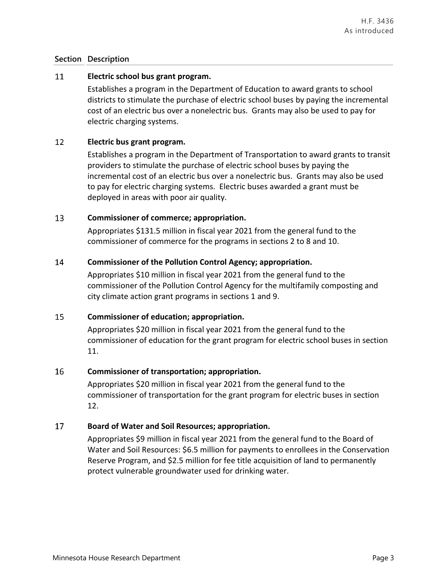# **Section Description**

#### 11 **Electric school bus grant program.**

Establishes a program in the Department of Education to award grants to school districts to stimulate the purchase of electric school buses by paying the incremental cost of an electric bus over a nonelectric bus. Grants may also be used to pay for electric charging systems.

#### 12 **Electric bus grant program.**

Establishes a program in the Department of Transportation to award grants to transit providers to stimulate the purchase of electric school buses by paying the incremental cost of an electric bus over a nonelectric bus. Grants may also be used to pay for electric charging systems. Electric buses awarded a grant must be deployed in areas with poor air quality.

#### 13 **Commissioner of commerce; appropriation.**

Appropriates \$131.5 million in fiscal year 2021 from the general fund to the commissioner of commerce for the programs in sections 2 to 8 and 10.

#### 14 **Commissioner of the Pollution Control Agency; appropriation.**

Appropriates \$10 million in fiscal year 2021 from the general fund to the commissioner of the Pollution Control Agency for the multifamily composting and city climate action grant programs in sections 1 and 9.

#### 15 **Commissioner of education; appropriation.**

Appropriates \$20 million in fiscal year 2021 from the general fund to the commissioner of education for the grant program for electric school buses in section 11.

# 16 **Commissioner of transportation; appropriation.**

Appropriates \$20 million in fiscal year 2021 from the general fund to the commissioner of transportation for the grant program for electric buses in section 12.

# 17 **Board of Water and Soil Resources; appropriation.**

Appropriates \$9 million in fiscal year 2021 from the general fund to the Board of Water and Soil Resources: \$6.5 million for payments to enrollees in the Conservation Reserve Program, and \$2.5 million for fee title acquisition of land to permanently protect vulnerable groundwater used for drinking water.